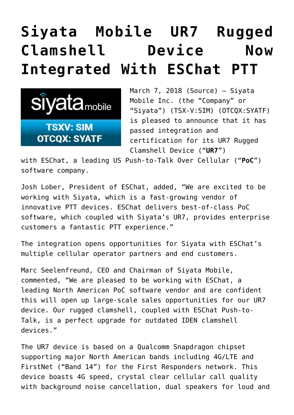## **[Siyata Mobile UR7 Rugged](https://investorintel.com/markets/technology/technology-news/siyata-mobile-ur7-rugged-clamshell-device-now-integrated-eschat-ptt/) [Clamshell Device Now](https://investorintel.com/markets/technology/technology-news/siyata-mobile-ur7-rugged-clamshell-device-now-integrated-eschat-ptt/) [Integrated With ESChat PTT](https://investorintel.com/markets/technology/technology-news/siyata-mobile-ur7-rugged-clamshell-device-now-integrated-eschat-ptt/)**



March 7, 2018 ([Source\)](https://investorintel.com/iintel-members/siyata-mobile-inc-2/) — Siyata Mobile Inc. (the "Company" or "Siyata") (TSX-V[:SIM\)](http://www.globenewswire.com/News/Listing?symbol=SIM&exchange=15) (OTCQX:SYATF) is pleased to announce that it has passed integration and certification for its UR7 Rugged Clamshell Device ("**UR7**")

with [ESChat,](https://www.eschat.com/) a leading US Push-to-Talk Over Cellular ("**PoC**") software company.

Josh Lober, President of ESChat, added, "We are excited to be working with Siyata, which is a fast-growing vendor of innovative PTT devices. ESChat delivers best-of-class PoC software, which coupled with Siyata's UR7, provides enterprise customers a fantastic PTT experience."

The integration opens opportunities for Siyata with ESChat's multiple cellular operator partners and end customers.

Marc Seelenfreund, CEO and Chairman of Siyata Mobile, commented, "We are pleased to be working with ESChat, a leading North American PoC software vendor and are confident this will open up large-scale sales opportunities for our UR7 device. Our rugged clamshell, coupled with ESChat Push-to-Talk, is a perfect upgrade for outdated IDEN clamshell devices."

The UR7 device is based on a Qualcomm Snapdragon chipset supporting major North American bands including 4G/LTE and FirstNet ("Band 14") for the First Responders network. This device boasts 4G speed, crystal clear cellular call quality with background noise cancellation, dual speakers for loud and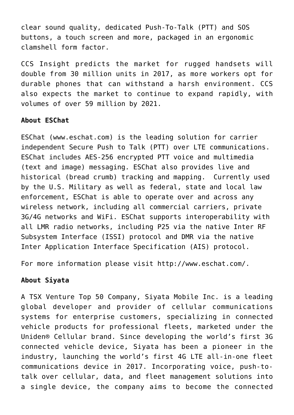clear sound quality, dedicated Push-To-Talk (PTT) and SOS buttons, a touch screen and more, packaged in an ergonomic clamshell form factor.

[CCS Insight](https://www.ccsinsight.com/blog/mobile-world-congress-2018-monday-26-february) predicts the market for rugged handsets will double from 30 million units in 2017, as more workers opt for durable phones that can withstand a harsh environment. CCS also expects the market to continue to expand rapidly, with volumes of over 59 million by 2021.

## **About ESChat**

ESChat (www.eschat.com) is the leading solution for carrier independent Secure Push to Talk (PTT) over LTE communications. ESChat includes AES-256 encrypted PTT voice and multimedia (text and image) messaging. ESChat also provides live and historical (bread crumb) tracking and mapping. Currently used by the U.S. Military as well as federal, state and local law enforcement, ESChat is able to operate over and across any wireless network, including all commercial carriers, private 3G/4G networks and WiFi. ESChat supports interoperability with all LMR radio networks, including P25 via the native Inter RF Subsystem Interface (ISSI) protocol and DMR via the native Inter Application Interface Specification (AIS) protocol.

For more information please visit <http://www.eschat.com/>.

## **About Siyata**

A TSX Venture Top 50 Company, Siyata Mobile Inc. is a leading global developer and provider of cellular communications systems for enterprise customers, specializing in connected vehicle products for professional fleets, marketed under the Uniden® Cellular brand. Since developing the world's first 3G connected vehicle device, Siyata has been a pioneer in the industry, launching the world's first 4G LTE all-in-one fleet communications device in 2017. Incorporating voice, push-totalk over cellular, data, and fleet management solutions into a single device, the company aims to become the connected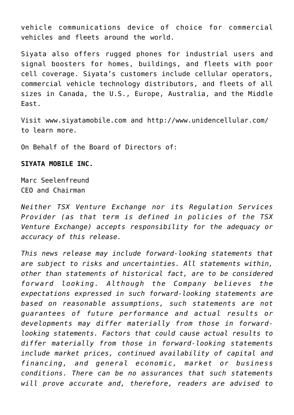vehicle communications device of choice for commercial vehicles and fleets around the world.

Siyata also offers rugged phones for industrial users and signal boosters for homes, buildings, and fleets with poor cell coverage. Siyata's customers include cellular operators, commercial vehicle technology distributors, and fleets of all sizes in Canada, the U.S., Europe, Australia, and the Middle East.

Visit [www.siyatamobile.com](http://www.siyatamobile.com/) and<http://www.unidencellular.com/> to learn more.

On Behalf of the Board of Directors of:

## **SIYATA MOBILE INC.**

Marc Seelenfreund CEO and Chairman

*Neither TSX Venture Exchange nor its Regulation Services Provider (as that term is defined in policies of the TSX Venture Exchange) accepts responsibility for the adequacy or accuracy of this release.*

*This news release may include forward-looking statements that are subject to risks and uncertainties. All statements within, other than statements of historical fact, are to be considered forward looking. Although the Company believes the expectations expressed in such forward-looking statements are based on reasonable assumptions, such statements are not guarantees of future performance and actual results or developments may differ materially from those in forwardlooking statements. Factors that could cause actual results to differ materially from those in forward-looking statements include market prices, continued availability of capital and financing, and general economic, market or business conditions. There can be no assurances that such statements will prove accurate and, therefore, readers are advised to*